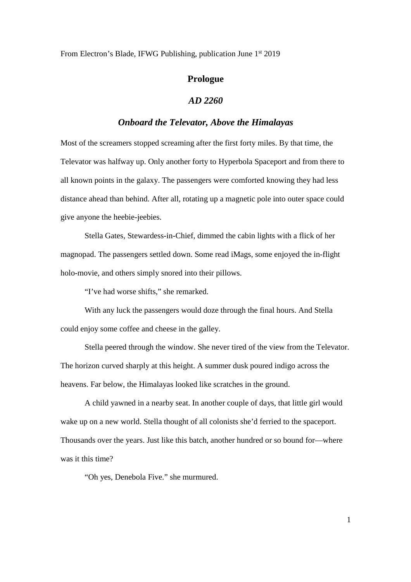From Electron's Blade, IFWG Publishing, publication June 1<sup>st</sup> 2019

## **Prologue**

## *AD 2260*

## *Onboard the Televator, Above the Himalayas*

Most of the screamers stopped screaming after the first forty miles. By that time, the Televator was halfway up. Only another forty to Hyperbola Spaceport and from there to all known points in the galaxy. The passengers were comforted knowing they had less distance ahead than behind. After all, rotating up a magnetic pole into outer space could give anyone the heebie-jeebies.

Stella Gates, Stewardess-in-Chief, dimmed the cabin lights with a flick of her magnopad. The passengers settled down. Some read iMags, some enjoyed the in-flight holo-movie, and others simply snored into their pillows.

"I've had worse shifts," she remarked.

With any luck the passengers would doze through the final hours. And Stella could enjoy some coffee and cheese in the galley.

Stella peered through the window. She never tired of the view from the Televator. The horizon curved sharply at this height. A summer dusk poured indigo across the heavens. Far below, the Himalayas looked like scratches in the ground.

A child yawned in a nearby seat. In another couple of days, that little girl would wake up on a new world. Stella thought of all colonists she'd ferried to the spaceport. Thousands over the years. Just like this batch, another hundred or so bound for—where was it this time?

"Oh yes, Denebola Five." she murmured.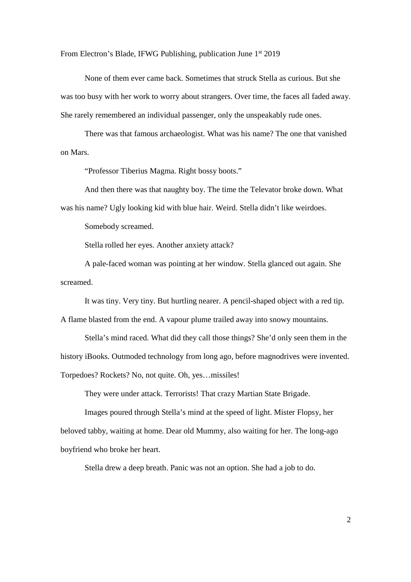From Electron's Blade, IFWG Publishing, publication June 1<sup>st</sup> 2019

None of them ever came back. Sometimes that struck Stella as curious. But she was too busy with her work to worry about strangers. Over time, the faces all faded away. She rarely remembered an individual passenger, only the unspeakably rude ones.

There was that famous archaeologist. What was his name? The one that vanished on Mars.

"Professor Tiberius Magma. Right bossy boots."

And then there was that naughty boy. The time the Televator broke down. What was his name? Ugly looking kid with blue hair. Weird. Stella didn't like weirdoes.

Somebody screamed.

Stella rolled her eyes. Another anxiety attack?

A pale-faced woman was pointing at her window. Stella glanced out again. She screamed.

It was tiny. Very tiny. But hurtling nearer. A pencil-shaped object with a red tip.

A flame blasted from the end. A vapour plume trailed away into snowy mountains.

Stella's mind raced. What did they call those things? She'd only seen them in the history iBooks. Outmoded technology from long ago, before magnodrives were invented. Torpedoes? Rockets? No, not quite. Oh, yes…missiles!

They were under attack. Terrorists! That crazy Martian State Brigade.

Images poured through Stella's mind at the speed of light. Mister Flopsy, her beloved tabby, waiting at home. Dear old Mummy, also waiting for her. The long-ago boyfriend who broke her heart.

Stella drew a deep breath. Panic was not an option. She had a job to do.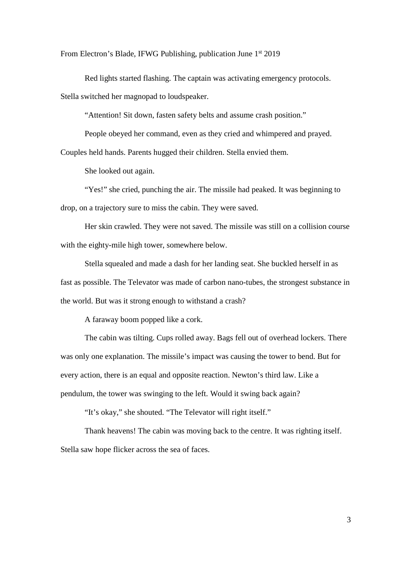From Electron's Blade, IFWG Publishing, publication June 1<sup>st</sup> 2019

Red lights started flashing. The captain was activating emergency protocols. Stella switched her magnopad to loudspeaker.

"Attention! Sit down, fasten safety belts and assume crash position."

People obeyed her command, even as they cried and whimpered and prayed.

Couples held hands. Parents hugged their children. Stella envied them.

She looked out again.

"Yes!" she cried, punching the air. The missile had peaked. It was beginning to drop, on a trajectory sure to miss the cabin. They were saved.

Her skin crawled. They were not saved. The missile was still on a collision course with the eighty-mile high tower, somewhere below.

Stella squealed and made a dash for her landing seat. She buckled herself in as fast as possible. The Televator was made of carbon nano-tubes, the strongest substance in the world. But was it strong enough to withstand a crash?

A faraway boom popped like a cork.

The cabin was tilting. Cups rolled away. Bags fell out of overhead lockers. There was only one explanation. The missile's impact was causing the tower to bend. But for every action, there is an equal and opposite reaction. Newton's third law. Like a pendulum, the tower was swinging to the left. Would it swing back again?

"It's okay," she shouted. "The Televator will right itself."

Thank heavens! The cabin was moving back to the centre. It was righting itself. Stella saw hope flicker across the sea of faces.